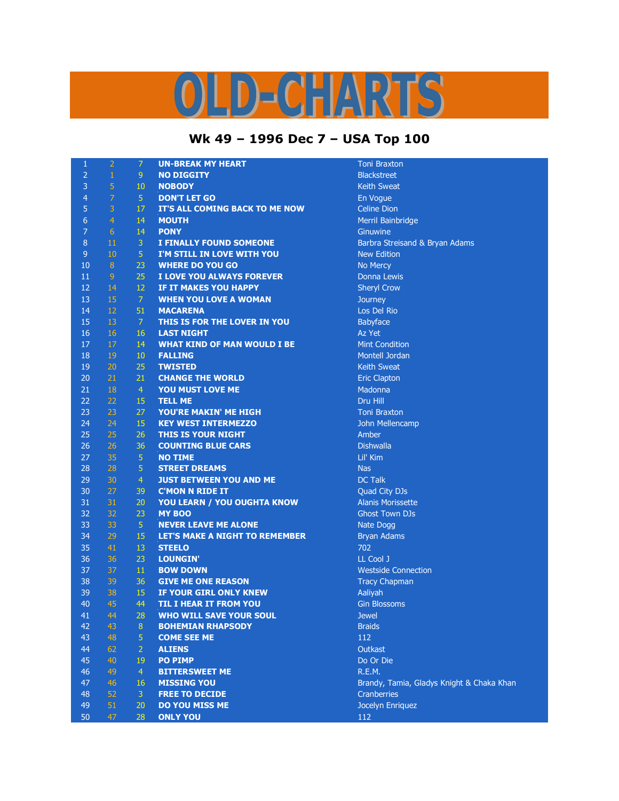## OLD-CHARTS

## **Wk 49 – 1996 Dec 7 – USA Top 100**

| $\mathbf{1}$     | $\overline{2}$  | $\overline{7}$ | <b>UN-BREAK MY HEART</b>              | <b>Toni Braxton</b>                       |
|------------------|-----------------|----------------|---------------------------------------|-------------------------------------------|
| $\overline{2}$   | $\mathbf{1}$    | 9              | <b>NO DIGGITY</b>                     | <b>Blackstreet</b>                        |
| 3                | $\sqrt{5}$      | $10\,$         | <b>NOBODY</b>                         | <b>Keith Sweat</b>                        |
| $\overline{4}$   | $\overline{7}$  | 5 <sub>1</sub> | <b>DON'T LET GO</b>                   | En Vogue                                  |
| 5                | 3               | 17             | IT'S ALL COMING BACK TO ME NOW        | <b>Celine Dion</b>                        |
| $\boldsymbol{6}$ | $\overline{4}$  | 14             | <b>MOUTH</b>                          | Merril Bainbridge                         |
| $\overline{7}$   | $6\phantom{.}6$ | 14             | <b>PONY</b>                           | Ginuwine                                  |
| 8                | 11              | $\overline{3}$ | <b>I FINALLY FOUND SOMEONE</b>        | Barbra Streisand & Bryan Adams            |
| $9$              | 10              | 5 <sub>1</sub> | I'M STILL IN LOVE WITH YOU            | <b>New Edition</b>                        |
| 10               | $8\phantom{.}$  | 23             | <b>WHERE DO YOU GO</b>                | No Mercy                                  |
| 11               | $\overline{9}$  | 25             | I LOVE YOU ALWAYS FOREVER             | Donna Lewis                               |
| 12               | 14              | 12             | IF IT MAKES YOU HAPPY                 | <b>Sheryl Crow</b>                        |
| 13               | 15              | $\overline{7}$ | <b>WHEN YOU LOVE A WOMAN</b>          | Journey                                   |
| 14               | 12              | 51             | <b>MACARENA</b>                       | Los Del Rio                               |
| 15               | 13              | $\overline{7}$ | THIS IS FOR THE LOVER IN YOU          | Babyface                                  |
| 16               | 16              | 16             | <b>LAST NIGHT</b>                     | Az Yet                                    |
| 17               | 17              | 14             | <b>WHAT KIND OF MAN WOULD I BE</b>    | <b>Mint Condition</b>                     |
| 18               | 19              | 10             | <b>FALLING</b>                        | Montell Jordan                            |
| 19               | 20              | 25             | <b>TWISTED</b>                        | <b>Keith Sweat</b>                        |
| 20               | 21              | 21             | <b>CHANGE THE WORLD</b>               | <b>Eric Clapton</b>                       |
| 21               | 18              | $\overline{4}$ | YOU MUST LOVE ME                      | Madonna                                   |
| 22               | 22              | 15             | <b>TELL ME</b>                        | Dru Hill                                  |
| 23               | 23              | 27             | YOU'RE MAKIN' ME HIGH                 | <b>Toni Braxton</b>                       |
| 24               | 24              | 15             | <b>KEY WEST INTERMEZZO</b>            | John Mellencamp                           |
| 25               | 25              | 26             | THIS IS YOUR NIGHT                    | Amber                                     |
| 26               | 26              | 36             | <b>COUNTING BLUE CARS</b>             | <b>Dishwalla</b>                          |
| 27               | 35              | $\overline{5}$ | <b>NO TIME</b>                        | Lil' Kim                                  |
| 28               | 28              | $\overline{5}$ | <b>STREET DREAMS</b>                  | <b>Nas</b>                                |
| 29               | 30              | $\overline{4}$ | <b>JUST BETWEEN YOU AND ME</b>        | <b>DC Talk</b>                            |
| 30               | 27              | 39             | <b>C'MON N RIDE IT</b>                | Quad City DJs                             |
| 31               | 31              | 20             | YOU LEARN / YOU OUGHTA KNOW           | <b>Alanis Morissette</b>                  |
| 32               | 32              | 23             | <b>MY BOO</b>                         | <b>Ghost Town DJs</b>                     |
| 33               | 33              | 5 <sup>1</sup> | <b>NEVER LEAVE ME ALONE</b>           | Nate Dogg                                 |
| 34               | 29              | 15             | <b>LET'S MAKE A NIGHT TO REMEMBER</b> | <b>Bryan Adams</b>                        |
| 35               | 41              | 13             | <b>STEELO</b>                         | 702                                       |
| 36               | 36              | 23             | <b>LOUNGIN'</b>                       | LL Cool J                                 |
| 37               | 37              | 11             | <b>BOW DOWN</b>                       | <b>Westside Connection</b>                |
| 38               | 39              | 36             | <b>GIVE ME ONE REASON</b>             | <b>Tracy Chapman</b>                      |
| 39               | 38              | 15             | IF YOUR GIRL ONLY KNEW                | Aaliyah                                   |
| 40               | 45              | 44             | <b>TIL I HEAR IT FROM YOU</b>         | <b>Gin Blossoms</b>                       |
| 41               | 44              | 28             | <b>WHO WILL SAVE YOUR SOUL</b>        | <b>Jewel</b>                              |
| 42               | 43              | 8 <sup>°</sup> | <b>BOHEMIAN RHAPSODY</b>              | <b>Braids</b>                             |
| 43               | 48              | 5              | <b>COME SEE ME</b>                    | 112                                       |
| 44               | 62              | $\overline{2}$ | <b>ALIENS</b>                         | Outkast                                   |
| 45               | 40              | 19             | <b>PO PIMP</b>                        | Do Or Die                                 |
| 46               | 49              | $\overline{4}$ | <b>BITTERSWEET ME</b>                 | R.E.M.                                    |
| 47               | 46              | 16             | <b>MISSING YOU</b>                    | Brandy, Tamia, Gladys Knight & Chaka Khan |
| 48               | 52              | $\mathbf{3}$   | <b>FREE TO DECIDE</b>                 | <b>Cranberries</b>                        |
| 49               | 51              | 20             | <b>DO YOU MISS ME</b>                 | Jocelyn Enriquez                          |
| 50               | 47              | 28             | <b>ONLY YOU</b>                       | 112                                       |

| <b>Keith Sweat</b>                        |  |  |  |  |  |  |
|-------------------------------------------|--|--|--|--|--|--|
| En Vogue                                  |  |  |  |  |  |  |
| <b>Celine Dion</b>                        |  |  |  |  |  |  |
| Merril Bainbridge                         |  |  |  |  |  |  |
| Ginuwine                                  |  |  |  |  |  |  |
| Barbra Streisand & Bryan Adams            |  |  |  |  |  |  |
| <b>New Edition</b>                        |  |  |  |  |  |  |
| No Mercy                                  |  |  |  |  |  |  |
| <b>Donna Lewis</b>                        |  |  |  |  |  |  |
| <b>Sheryl Crow</b>                        |  |  |  |  |  |  |
| <b>Journey</b>                            |  |  |  |  |  |  |
| Los Del Rio                               |  |  |  |  |  |  |
| <b>Babyface</b>                           |  |  |  |  |  |  |
| Az Yet                                    |  |  |  |  |  |  |
| <b>Mint Condition</b>                     |  |  |  |  |  |  |
| <b>Montell Jordan</b>                     |  |  |  |  |  |  |
| <b>Keith Sweat</b>                        |  |  |  |  |  |  |
| <b>Eric Clapton</b>                       |  |  |  |  |  |  |
| Madonna                                   |  |  |  |  |  |  |
| <b>Dru Hill</b>                           |  |  |  |  |  |  |
| <b>Toni Braxton</b>                       |  |  |  |  |  |  |
| John Mellencamp                           |  |  |  |  |  |  |
| Amber                                     |  |  |  |  |  |  |
| <b>Dishwalla</b>                          |  |  |  |  |  |  |
| Lil' Kim                                  |  |  |  |  |  |  |
| <b>Nas</b>                                |  |  |  |  |  |  |
| <b>DC Talk</b>                            |  |  |  |  |  |  |
| <b>Quad City DJs</b>                      |  |  |  |  |  |  |
| <b>Alanis Morissette</b>                  |  |  |  |  |  |  |
| <b>Ghost Town DJs</b>                     |  |  |  |  |  |  |
| <b>Nate Dogg</b>                          |  |  |  |  |  |  |
| <b>Bryan Adams</b>                        |  |  |  |  |  |  |
| 702                                       |  |  |  |  |  |  |
| LL Cool J                                 |  |  |  |  |  |  |
| <b>Westside Connection</b>                |  |  |  |  |  |  |
| <b>Tracy Chapman</b>                      |  |  |  |  |  |  |
| Aaliyah                                   |  |  |  |  |  |  |
| <b>Gin Blossoms</b>                       |  |  |  |  |  |  |
| <b>Jewel</b>                              |  |  |  |  |  |  |
| <b>Braids</b>                             |  |  |  |  |  |  |
| 112                                       |  |  |  |  |  |  |
| Outkast                                   |  |  |  |  |  |  |
| Do Or Die                                 |  |  |  |  |  |  |
| R.E.M.                                    |  |  |  |  |  |  |
| Brandy, Tamia, Gladys Knight & Chaka Khan |  |  |  |  |  |  |
| <b>Cranberries</b>                        |  |  |  |  |  |  |
| Jocelyn Enriquez                          |  |  |  |  |  |  |
| 112                                       |  |  |  |  |  |  |